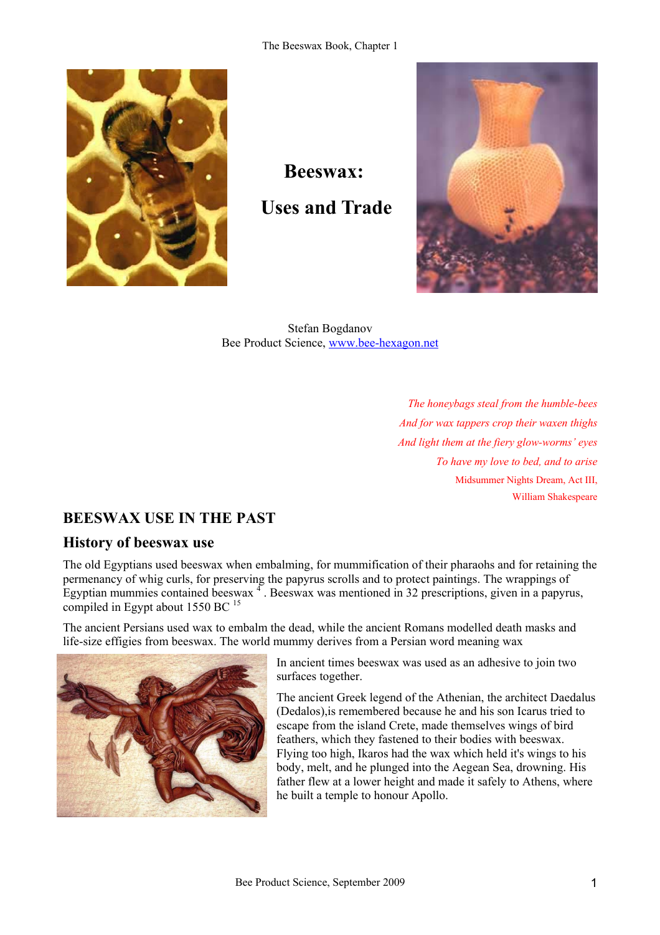

**Beeswax: Uses and Trade** 



Stefan Bogdanov Bee Product Science, www.bee-hexagon.net

> *The honeybags steal from the humble-bees And for wax tappers crop their waxen thighs And light them at the fiery glow-worms' eyes To have my love to bed, and to arise*  Midsummer Nights Dream, Act III, William Shakespeare

## **BEESWAX USE IN THE PAST**

### **History of beeswax use**

The old Egyptians used beeswax when embalming, for mummification of their pharaohs and for retaining the permenancy of whig curls, for preserving the papyrus scrolls and to protect paintings. The wrappings of Egyptian mummies contained beeswax  $\frac{4}{1}$ . Beeswax was mentioned in 32 prescriptions, given in a papyrus, compiled in Egypt about 1550 BC <sup>15</sup>

The ancient Persians used wax to embalm the dead, while the ancient Romans modelled death masks and life-size effigies from beeswax. The world mummy derives from a Persian word meaning wax



In ancient times beeswax was used as an adhesive to join two surfaces together.

The ancient Greek legend of the Athenian, the architect Daedalus (Dedalos),is remembered because he and his son Icarus tried to escape from the island Crete, made themselves wings of bird feathers, which they fastened to their bodies with beeswax. Flying too high, Ikaros had the wax which held it's wings to his body, melt, and he plunged into the Aegean Sea, drowning. His father flew at a lower height and made it safely to Athens, where he built a temple to honour Apollo.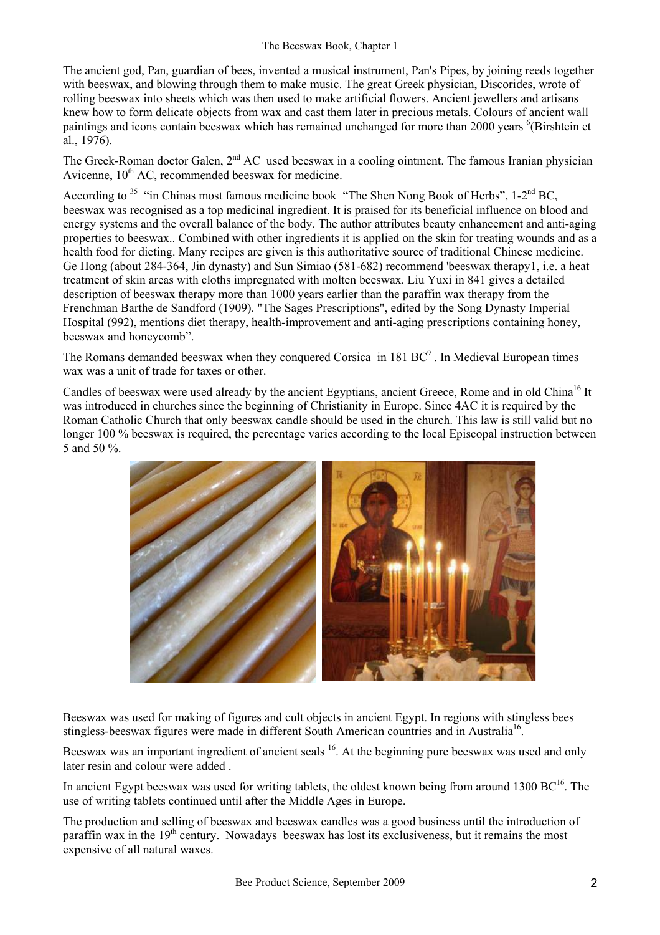The ancient god, Pan, guardian of bees, invented a musical instrument, Pan's Pipes, by joining reeds together with beeswax, and blowing through them to make music. The great Greek physician, Discorides, wrote of rolling beeswax into sheets which was then used to make artificial flowers. Ancient jewellers and artisans knew how to form delicate objects from wax and cast them later in precious metals. Colours of ancient wall paintings and icons contain beeswax which has remained unchanged for more than 2000 years <sup>6</sup>(Birshtein et al., 1976).

The Greek-Roman doctor Galen, 2<sup>nd</sup> AC used beeswax in a cooling ointment. The famous Iranian physician Avicenne,  $10^{th}$  AC, recommended beeswax for medicine.

According to <sup>35</sup> "in Chinas most famous medicine book "The Shen Nong Book of Herbs", 1-2<sup>nd</sup> BC, beeswax was recognised as a top medicinal ingredient. It is praised for its beneficial influence on blood and energy systems and the overall balance of the body. The author attributes beauty enhancement and anti-aging properties to beeswax.. Combined with other ingredients it is applied on the skin for treating wounds and as a health food for dieting. Many recipes are given is this authoritative source of traditional Chinese medicine. Ge Hong (about 284-364, Jin dynasty) and Sun Simiao (581-682) recommend 'beeswax therapy1, i.e. a heat treatment of skin areas with cloths impregnated with molten beeswax. Liu Yuxi in 841 gives a detailed description of beeswax therapy more than 1000 years earlier than the paraffin wax therapy from the Frenchman Barthe de Sandford (1909). "The Sages Prescriptions", edited by the Song Dynasty Imperial Hospital (992), mentions diet therapy, health-improvement and anti-aging prescriptions containing honey, beeswax and honeycomb".

The Romans demanded beeswax when they conquered Corsica in 181  $BC^9$ . In Medieval European times wax was a unit of trade for taxes or other.

Candles of beeswax were used already by the ancient Egyptians, ancient Greece, Rome and in old China<sup>16</sup> It was introduced in churches since the beginning of Christianity in Europe. Since 4AC it is required by the Roman Catholic Church that only beeswax candle should be used in the church. This law is still valid but no longer 100 % beeswax is required, the percentage varies according to the local Episcopal instruction between 5 and 50 %.



Beeswax was used for making of figures and cult objects in ancient Egypt. In regions with stingless bees stingless-beeswax figures were made in different South American countries and in Australia<sup>16</sup>.

Beeswax was an important ingredient of ancient seals <sup>16</sup>. At the beginning pure beeswax was used and only later resin and colour were added .

In ancient Egypt beeswax was used for writing tablets, the oldest known being from around  $1300 \text{ BC}^{16}$ . The use of writing tablets continued until after the Middle Ages in Europe.

The production and selling of beeswax and beeswax candles was a good business until the introduction of paraffin wax in the  $19<sup>th</sup>$  century. Nowadays beeswax has lost its exclusiveness, but it remains the most expensive of all natural waxes.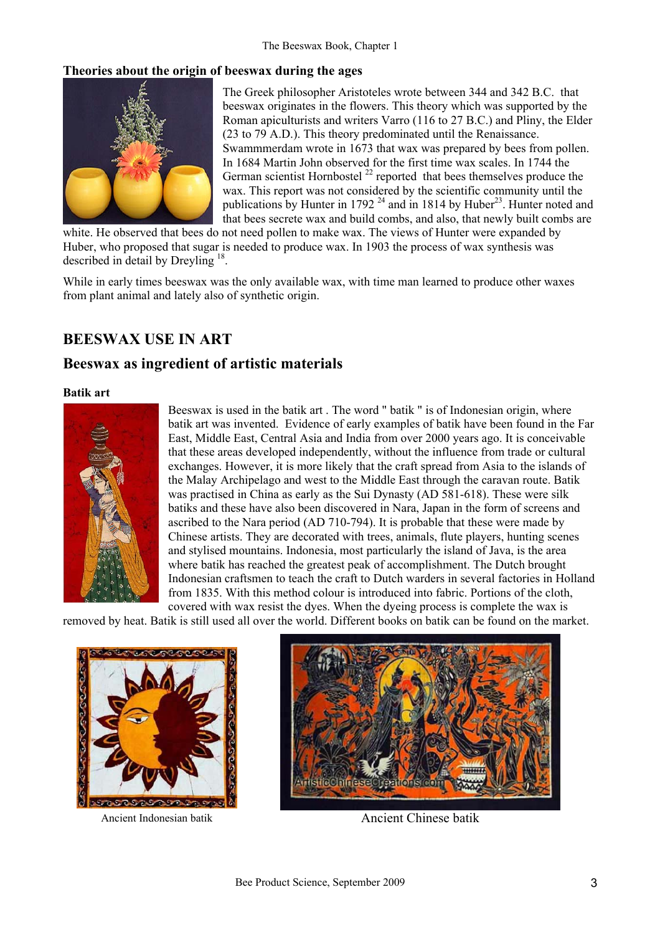#### **Theories about the origin of beeswax during the ages**



The Greek philosopher Aristoteles wrote between 344 and 342 B.C. that beeswax originates in the flowers. This theory which was supported by the Roman apiculturists and writers Varro (116 to 27 B.C.) and Pliny, the Elder (23 to 79 A.D.). This theory predominated until the Renaissance. Swammmerdam wrote in 1673 that wax was prepared by bees from pollen. In 1684 Martin John observed for the first time wax scales. In 1744 the German scientist Hornbostel  $^{22}$  reported that bees themselves produce the wax. This report was not considered by the scientific community until the publications by Hunter in 1792<sup>24</sup> and in 1814 by Huber<sup>23</sup>. Hunter noted and that bees secrete wax and build combs, and also, that newly built combs are

white. He observed that bees do not need pollen to make wax. The views of Hunter were expanded by Huber, who proposed that sugar is needed to produce wax. In 1903 the process of wax synthesis was described in detail by Dreyling 18.

While in early times beeswax was the only available wax, with time man learned to produce other waxes from plant animal and lately also of synthetic origin.

### **BEESWAX USE IN ART**

### **Beeswax as ingredient of artistic materials**

#### **Batik art**



Beeswax is used in the batik art . The word " batik " is of Indonesian origin, where batik art was invented. Evidence of early examples of batik have been found in the Far East, Middle East, Central Asia and India from over 2000 years ago. It is conceivable that these areas developed independently, without the influence from trade or cultural exchanges. However, it is more likely that the craft spread from Asia to the islands of the Malay Archipelago and west to the Middle East through the caravan route. Batik was practised in China as early as the Sui Dynasty (AD 581-618). These were silk batiks and these have also been discovered in Nara, Japan in the form of screens and ascribed to the Nara period (AD 710-794). It is probable that these were made by Chinese artists. They are decorated with trees, animals, flute players, hunting scenes and stylised mountains. Indonesia, most particularly the island of Java, is the area where batik has reached the greatest peak of accomplishment. The Dutch brought Indonesian craftsmen to teach the craft to Dutch warders in several factories in Holland from 1835. With this method colour is introduced into fabric. Portions of the cloth, covered with wax resist the dyes. When the dyeing process is complete the wax is

removed by heat. Batik is still used all over the world. Different books on batik can be found on the market.





Ancient Indonesian batik Ancient Chinese batik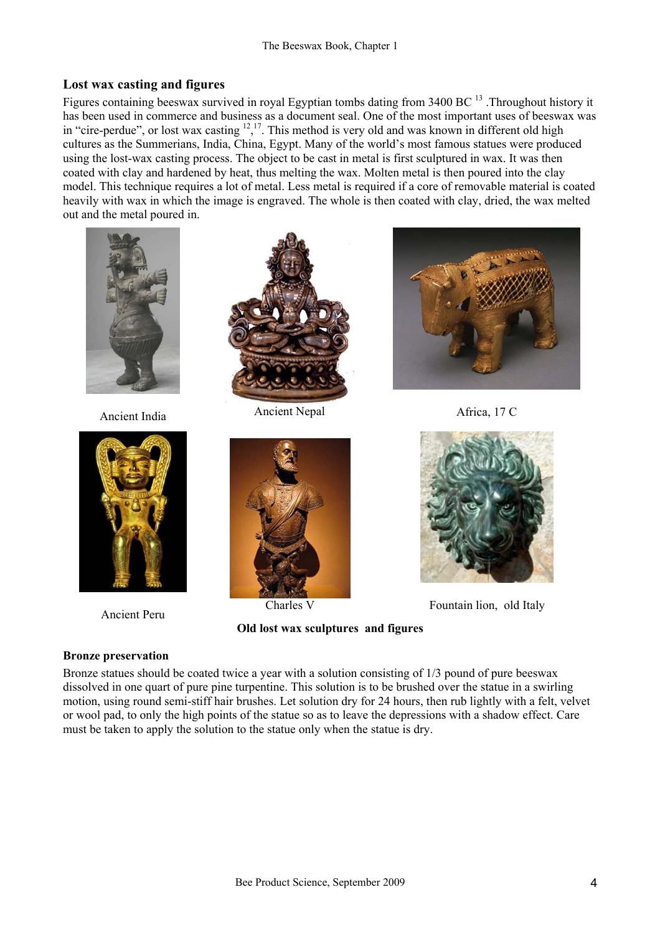#### **Lost wax casting and figures**

Figures containing beeswax survived in royal Egyptian tombs dating from 3400 BC <sup>13</sup>. Throughout history it has been used in commerce and business as a document seal. One of the most important uses of beeswax was in "cire-perdue", or lost wax casting  $12,17$ . This method is very old and was known in different old high cultures as the Summerians, India, China, Egypt. Many of the world's most famous statues were produced using the lost-wax casting process. The object to be cast in metal is first sculptured in wax. It was then coated with clay and hardened by heat, thus melting the wax. Molten metal is then poured into the clay model. This technique requires a lot of metal. Less metal is required if a core of removable material is coated heavily with wax in which the image is engraved. The whole is then coated with clay, dried, the wax melted out and the metal poured in.





Ancient Peru



Ancient India Ancient Nepal Africa, 17 C



**Old lost wax sculptures and figures** 





Charles V Fountain lion, old Italy

#### **Bronze preservation**

Bronze statues should be coated twice a year with a solution consisting of 1/3 pound of pure beeswax dissolved in one quart of pure pine turpentine. This solution is to be brushed over the statue in a swirling motion, using round semi-stiff hair brushes. Let solution dry for 24 hours, then rub lightly with a felt, velvet or wool pad, to only the high points of the statue so as to leave the depressions with a shadow effect. Care must be taken to apply the solution to the statue only when the statue is dry.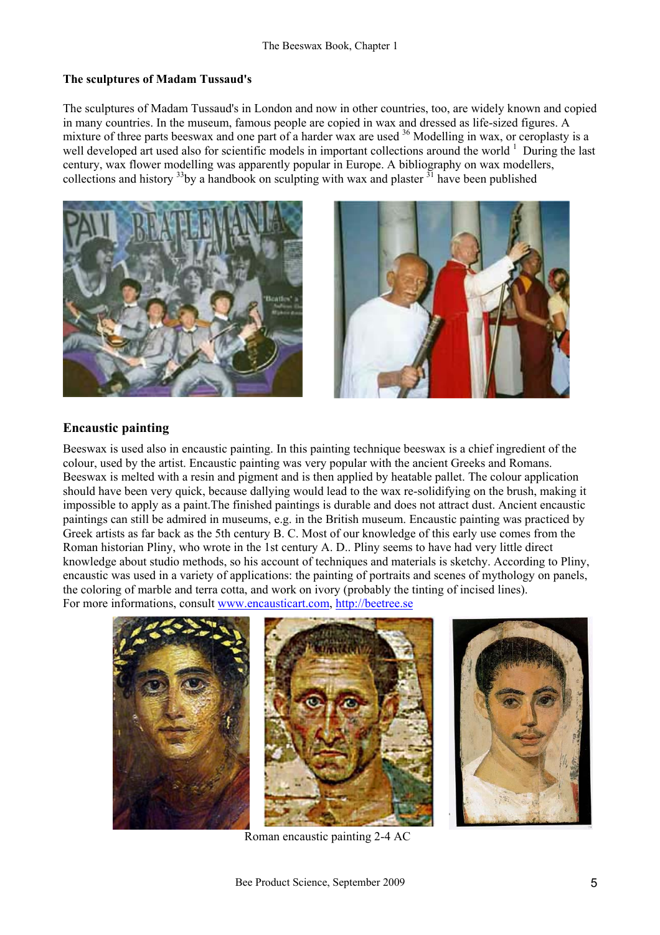#### **The sculptures of Madam Tussaud's**

The sculptures of Madam Tussaud's in London and now in other countries, too, are widely known and copied in many countries. In the museum, famous people are copied in wax and dressed as life-sized figures. A mixture of three parts beeswax and one part of a harder wax are used <sup>36</sup> Modelling in wax, or ceroplasty is a well developed art used also for scientific models in important collections around the world <sup>1</sup> During the last century, wax flower modelling was apparently popular in Europe. A bibliography on wax modellers, collections and history  $33$  by a handbook on sculpting with wax and plaster  $31$  have been published





### **Encaustic painting**

Beeswax is used also in encaustic painting. In this painting technique beeswax is a chief ingredient of the colour, used by the artist. Encaustic painting was very popular with the ancient Greeks and Romans. Beeswax is melted with a resin and pigment and is then applied by heatable pallet. The colour application should have been very quick, because dallying would lead to the wax re-solidifying on the brush, making it impossible to apply as a paint.The finished paintings is durable and does not attract dust. Ancient encaustic paintings can still be admired in museums, e.g. in the British museum. Encaustic painting was practiced by Greek artists as far back as the 5th century B. C. Most of our knowledge of this early use comes from the Roman historian Pliny, who wrote in the 1st century A. D.. Pliny seems to have had very little direct knowledge about studio methods, so his account of techniques and materials is sketchy. According to Pliny, encaustic was used in a variety of applications: the painting of portraits and scenes of mythology on panels, the coloring of marble and terra cotta, and work on ivory (probably the tinting of incised lines). For more informations, consult www.encausticart.com, http://beetree.se



Roman encaustic painting 2-4 AC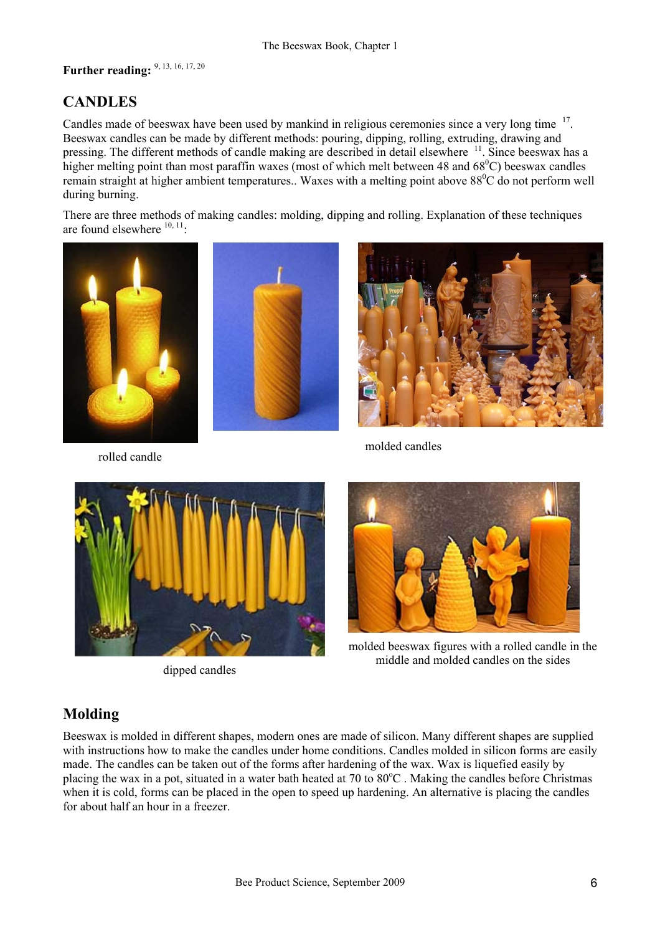# **Further reading:** 9, 13, 16, 17, 20

## **CANDLES**

Candles made of beeswax have been used by mankind in religious ceremonies since a very long time <sup>17</sup>. Beeswax candles can be made by different methods: pouring, dipping, rolling, extruding, drawing and pressing. The different methods of candle making are described in detail elsewhere <sup>11</sup>. Since beeswax has a higher melting point than most paraffin waxes (most of which melt between 48 and  $68^{\circ}$ C) beeswax candles remain straight at higher ambient temperatures.. Waxes with a melting point above 88<sup>0</sup>C do not perform well during burning.

There are three methods of making candles: molding, dipping and rolling. Explanation of these techniques are found elsewhere  $10, 11$ .





rolled candle



molded candles



dipped candles



molded beeswax figures with a rolled candle in the middle and molded candles on the sides

### **Molding**

Beeswax is molded in different shapes, modern ones are made of silicon. Many different shapes are supplied with instructions how to make the candles under home conditions. Candles molded in silicon forms are easily made. The candles can be taken out of the forms after hardening of the wax. Wax is liquefied easily by placing the wax in a pot, situated in a water bath heated at 70 to 80°C. Making the candles before Christmas when it is cold, forms can be placed in the open to speed up hardening. An alternative is placing the candles for about half an hour in a freezer.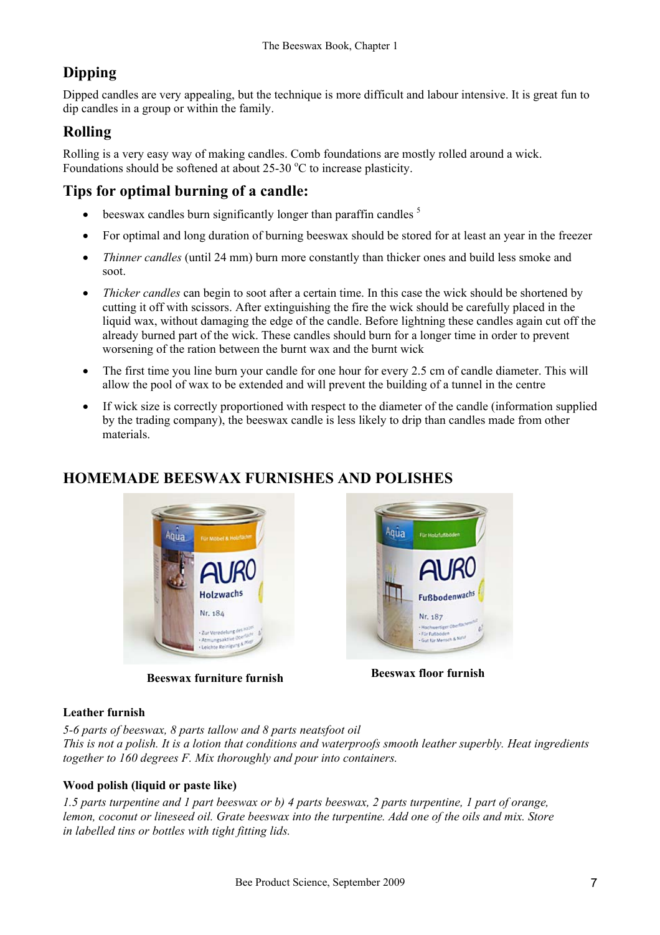# **Dipping**

Dipped candles are very appealing, but the technique is more difficult and labour intensive. It is great fun to dip candles in a group or within the family.

## **Rolling**

Rolling is a very easy way of making candles. Comb foundations are mostly rolled around a wick. Foundations should be softened at about  $25{\text -}30^{\circ}\text{C}$  to increase plasticity.

## **Tips for optimal burning of a candle:**

- $\bullet$  beeswax candles burn significantly longer than paraffin candles  $\delta$
- For optimal and long duration of burning beeswax should be stored for at least an year in the freezer
- *Thinner candles* (until 24 mm) burn more constantly than thicker ones and build less smoke and soot.
- *Thicker candles* can begin to soot after a certain time. In this case the wick should be shortened by cutting it off with scissors. After extinguishing the fire the wick should be carefully placed in the liquid wax, without damaging the edge of the candle. Before lightning these candles again cut off the already burned part of the wick. These candles should burn for a longer time in order to prevent worsening of the ration between the burnt wax and the burnt wick
- The first time you line burn your candle for one hour for every 2.5 cm of candle diameter. This will allow the pool of wax to be extended and will prevent the building of a tunnel in the centre
- If wick size is correctly proportioned with respect to the diameter of the candle (information supplied by the trading company), the beeswax candle is less likely to drip than candles made from other materials.

## **HOMEMADE BEESWAX FURNISHES AND POLISHES**



**Beeswax furniture furnish Beeswax floor furnish** 



### **Leather furnish**

*5-6 parts of beeswax, 8 parts tallow and 8 parts neatsfoot oil* 

*This is not a polish. It is a lotion that conditions and waterproofs smooth leather superbly. Heat ingredients together to 160 degrees F. Mix thoroughly and pour into containers.*

### **Wood polish (liquid or paste like)**

*1.5 parts turpentine and 1 part beeswax or b) 4 parts beeswax, 2 parts turpentine, 1 part of orange, lemon, coconut or lineseed oil. Grate beeswax into the turpentine. Add one of the oils and mix. Store in labelled tins or bottles with tight fitting lids.*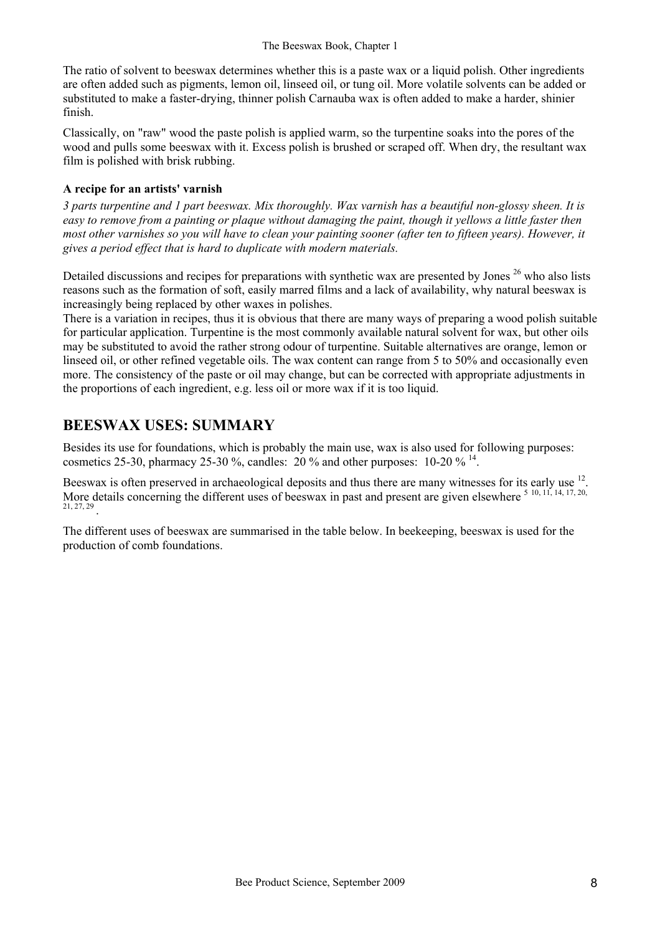The ratio of solvent to beeswax determines whether this is a paste wax or a liquid polish. Other ingredients are often added such as pigments, lemon oil, linseed oil, or tung oil. More volatile solvents can be added or substituted to make a faster-drying, thinner polish Carnauba wax is often added to make a harder, shinier finish.

Classically, on "raw" wood the paste polish is applied warm, so the turpentine soaks into the pores of the wood and pulls some beeswax with it. Excess polish is brushed or scraped off. When dry, the resultant wax film is polished with brisk rubbing.

#### **A recipe for an artists' varnish**

*3 parts turpentine and 1 part beeswax. Mix thoroughly. Wax varnish has a beautiful non-glossy sheen. It is easy to remove from a painting or plaque without damaging the paint, though it yellows a little faster then most other varnishes so you will have to clean your painting sooner (after ten to fifteen years). However, it gives a period effect that is hard to duplicate with modern materials.* 

Detailed discussions and recipes for preparations with synthetic wax are presented by Jones <sup>26</sup> who also lists reasons such as the formation of soft, easily marred films and a lack of availability, why natural beeswax is increasingly being replaced by other waxes in polishes.

There is a variation in recipes, thus it is obvious that there are many ways of preparing a wood polish suitable for particular application. Turpentine is the most commonly available natural solvent for wax, but other oils may be substituted to avoid the rather strong odour of turpentine. Suitable alternatives are orange, lemon or linseed oil, or other refined vegetable oils. The wax content can range from 5 to 50% and occasionally even more. The consistency of the paste or oil may change, but can be corrected with appropriate adjustments in the proportions of each ingredient, e.g. less oil or more wax if it is too liquid.

## **BEESWAX USES: SUMMARY**

Besides its use for foundations, which is probably the main use, wax is also used for following purposes: cosmetics 25-30, pharmacy 25-30 %, candles: 20 % and other purposes:  $10\text{-}20\%$  <sup>14</sup>.

Beeswax is often preserved in archaeological deposits and thus there are many witnesses for its early use <sup>12</sup>. More details concerning the different uses of beeswax in past and present are given elsewhere  $5\,10, 11, 14, 17, 20,$ 21, 27, 29 .

The different uses of beeswax are summarised in the table below. In beekeeping, beeswax is used for the production of comb foundations.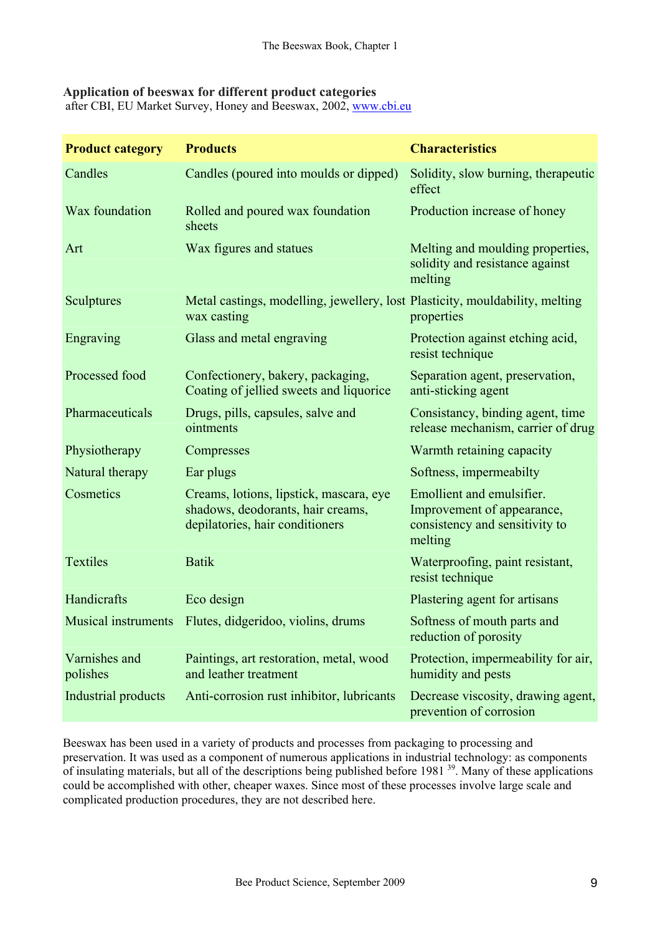#### **Application of beeswax for different product categories**

after CBI, EU Market Survey, Honey and Beeswax, 2002, www.cbi.eu

| <b>Product category</b>    | <b>Products</b>                                                                                                 | <b>Characteristics</b>                                                                               |  |
|----------------------------|-----------------------------------------------------------------------------------------------------------------|------------------------------------------------------------------------------------------------------|--|
| Candles                    | Candles (poured into moulds or dipped)                                                                          | Solidity, slow burning, therapeutic<br>effect                                                        |  |
| Wax foundation             | Rolled and poured wax foundation<br>sheets                                                                      | Production increase of honey                                                                         |  |
| Art                        | Wax figures and statues                                                                                         | Melting and moulding properties,<br>solidity and resistance against<br>melting                       |  |
| Sculptures                 | Metal castings, modelling, jewellery, lost Plasticity, mouldability, melting<br>wax casting                     | properties                                                                                           |  |
| Engraving                  | Glass and metal engraving                                                                                       | Protection against etching acid,<br>resist technique                                                 |  |
| Processed food             | Confectionery, bakery, packaging,<br>Coating of jellied sweets and liquorice                                    | Separation agent, preservation,<br>anti-sticking agent                                               |  |
| Pharmaceuticals            | Drugs, pills, capsules, salve and<br>ointments                                                                  | Consistancy, binding agent, time<br>release mechanism, carrier of drug                               |  |
| Physiotherapy              | Compresses                                                                                                      | Warmth retaining capacity                                                                            |  |
| Natural therapy            | Ear plugs                                                                                                       | Softness, impermeabilty                                                                              |  |
| Cosmetics                  | Creams, lotions, lipstick, mascara, eye<br>shadows, deodorants, hair creams,<br>depilatories, hair conditioners | Emollient and emulsifier.<br>Improvement of appearance,<br>consistency and sensitivity to<br>melting |  |
| <b>Textiles</b>            | <b>Batik</b>                                                                                                    | Waterproofing, paint resistant,<br>resist technique                                                  |  |
| Handicrafts                | Eco design                                                                                                      | Plastering agent for artisans                                                                        |  |
| <b>Musical instruments</b> | Flutes, didgeridoo, violins, drums                                                                              | Softness of mouth parts and<br>reduction of porosity                                                 |  |
| Varnishes and<br>polishes  | Paintings, art restoration, metal, wood<br>and leather treatment                                                | Protection, impermeability for air,<br>humidity and pests                                            |  |
| Industrial products        | Anti-corrosion rust inhibitor, lubricants                                                                       | Decrease viscosity, drawing agent,<br>prevention of corrosion                                        |  |

Beeswax has been used in a variety of products and processes from packaging to processing and preservation. It was used as a component of numerous applications in industrial technology: as components of insulating materials, but all of the descriptions being published before 1981 39. Many of these applications could be accomplished with other, cheaper waxes. Since most of these processes involve large scale and complicated production procedures, they are not described here.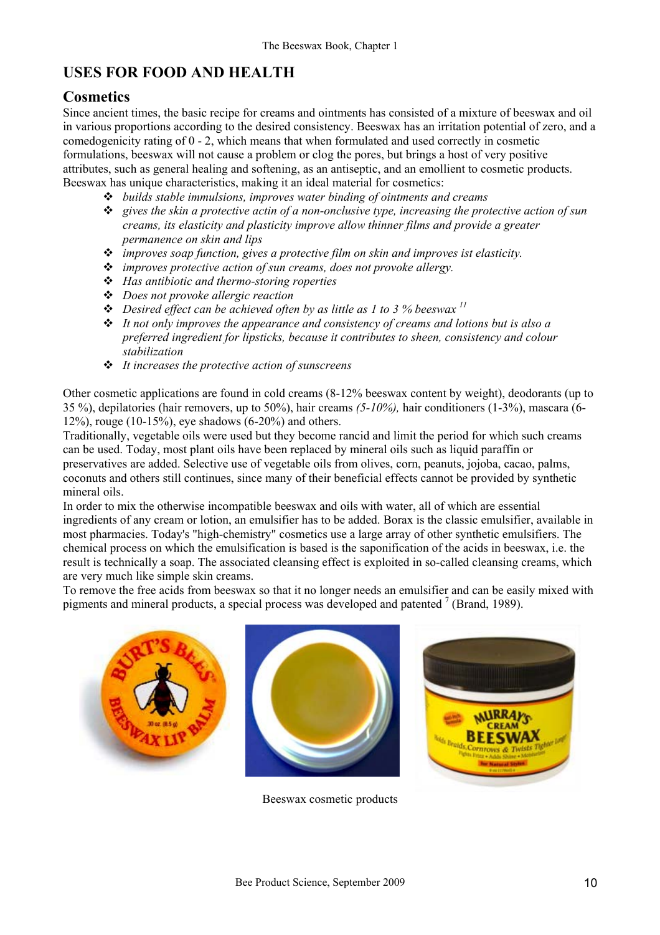## **USES FOR FOOD AND HEALTH**

### **Cosmetics**

Since ancient times, the basic recipe for creams and ointments has consisted of a mixture of beeswax and oil in various proportions according to the desired consistency. Beeswax has an irritation potential of zero, and a comedogenicity rating of 0 - 2, which means that when formulated and used correctly in cosmetic formulations, beeswax will not cause a problem or clog the pores, but brings a host of very positive attributes, such as general healing and softening, as an antiseptic, and an emollient to cosmetic products. Beeswax has unique characteristics, making it an ideal material for cosmetics:

- *builds stable immulsions, improves water binding of ointments and creams*
- *gives the skin a protective actin of a non-onclusive type, increasing the protective action of sun creams, its elasticity and plasticity improve allow thinner films and provide a greater permanence on skin and lips*
- *improves soap function, gives a protective film on skin and improves ist elasticity.*
- *improves protective action of sun creams, does not provoke allergy.*
- *Has antibiotic and thermo-storing roperties*
- *Does not provoke allergic reaction*
- $\triangleq$  Desired effect can be achieved often by as little as 1 to 3 % beeswax  $\frac{11}{2}$
- *It not only improves the appearance and consistency of creams and lotions but is also a preferred ingredient for lipsticks, because it contributes to sheen, consistency and colour stabilization*
- *It increases the protective action of sunscreens*

Other cosmetic applications are found in cold creams (8-12% beeswax content by weight), deodorants (up to 35 %), depilatories (hair removers, up to 50%), hair creams *(5-10%),* hair conditioners (1-3%), mascara (6- 12%), rouge (10-15%), eye shadows  $(6-20%)$  and others.

Traditionally, vegetable oils were used but they become rancid and limit the period for which such creams can be used. Today, most plant oils have been replaced by mineral oils such as liquid paraffin or preservatives are added. Selective use of vegetable oils from olives, corn, peanuts, jojoba, cacao, palms, coconuts and others still continues, since many of their beneficial effects cannot be provided by synthetic mineral oils.

In order to mix the otherwise incompatible beeswax and oils with water, all of which are essential ingredients of any cream or lotion, an emulsifier has to be added. Borax is the classic emulsifier, available in most pharmacies. Today's "high-chemistry" cosmetics use a large array of other synthetic emulsifiers. The chemical process on which the emulsification is based is the saponification of the acids in beeswax, i.e. the result is technically a soap. The associated cleansing effect is exploited in so-called cleansing creams, which are very much like simple skin creams.

To remove the free acids from beeswax so that it no longer needs an emulsifier and can be easily mixed with pigments and mineral products, a special process was developed and patented  $^7$  (Brand, 1989).



Beeswax cosmetic products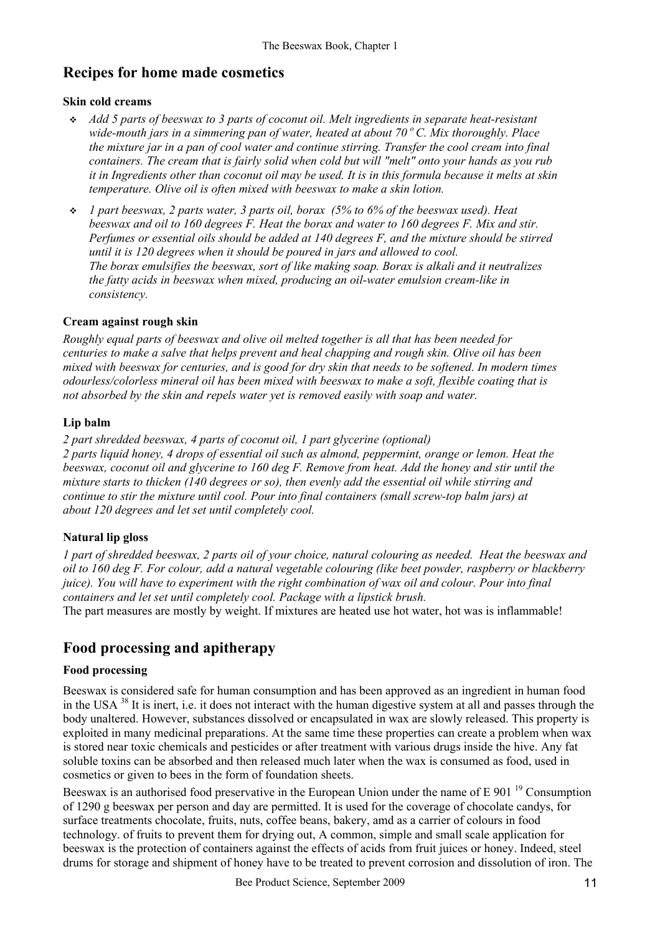### **Recipes for home made cosmetics**

#### **Skin cold creams**

- *Add 5 parts of beeswax to 3 parts of coconut oil. Melt ingredients in separate heat-resistant*  wide-mouth jars in a simmering pan of water, heated at about 70°C. Mix thoroughly. Place *the mixture jar in a pan of cool water and continue stirring. Transfer the cool cream into final containers. The cream that is fairly solid when cold but will "melt" onto your hands as you rub it in Ingredients other than coconut oil may be used. It is in this formula because it melts at skin temperature. Olive oil is often mixed with beeswax to make a skin lotion.*
- *1 part beeswax, 2 parts water, 3 parts oil, borax (5% to 6% of the beeswax used). Heat beeswax and oil to 160 degrees F. Heat the borax and water to 160 degrees F. Mix and stir. Perfumes or essential oils should be added at 140 degrees F, and the mixture should be stirred until it is 120 degrees when it should be poured in jars and allowed to cool. The borax emulsifies the beeswax, sort of like making soap. Borax is alkali and it neutralizes the fatty acids in beeswax when mixed, producing an oil-water emulsion cream-like in consistency.*

#### **Cream against rough skin**

*Roughly equal parts of beeswax and olive oil melted together is all that has been needed for centuries to make a salve that helps prevent and heal chapping and rough skin. Olive oil has been mixed with beeswax for centuries, and is good for dry skin that needs to be softened. In modern times odourless/colorless mineral oil has been mixed with beeswax to make a soft, flexible coating that is not absorbed by the skin and repels water yet is removed easily with soap and water.* 

#### **Lip balm**

*2 part shredded beeswax, 4 parts of coconut oil, 1 part glycerine (optional)* 

*2 parts liquid honey, 4 drops of essential oil such as almond, peppermint, orange or lemon. Heat the beeswax, coconut oil and glycerine to 160 deg F. Remove from heat. Add the honey and stir until the mixture starts to thicken (140 degrees or so), then evenly add the essential oil while stirring and continue to stir the mixture until cool. Pour into final containers (small screw-top balm jars) at about 120 degrees and let set until completely cool.* 

#### **Natural lip gloss**

*1 part of shredded beeswax, 2 parts oil of your choice, natural colouring as needed. Heat the beeswax and oil to 160 deg F. For colour, add a natural vegetable colouring (like beet powder, raspberry or blackberry juice). You will have to experiment with the right combination of wax oil and colour. Pour into final containers and let set until completely cool. Package with a lipstick brush.*  The part measures are mostly by weight. If mixtures are heated use hot water, hot was is inflammable!

### **Food processing and apitherapy**

#### **Food processing**

Beeswax is considered safe for human consumption and has been approved as an ingredient in human food in the USA 38 It is inert, i.e. it does not interact with the human digestive system at all and passes through the body unaltered. However, substances dissolved or encapsulated in wax are slowly released. This property is exploited in many medicinal preparations. At the same time these properties can create a problem when wax is stored near toxic chemicals and pesticides or after treatment with various drugs inside the hive. Any fat soluble toxins can be absorbed and then released much later when the wax is consumed as food, used in cosmetics or given to bees in the form of foundation sheets.

Beeswax is an authorised food preservative in the European Union under the name of E 901<sup>19</sup> Consumption of 1290 g beeswax per person and day are permitted. It is used for the coverage of chocolate candys, for surface treatments chocolate, fruits, nuts, coffee beans, bakery, amd as a carrier of colours in food technology. of fruits to prevent them for drying out, A common, simple and small scale application for beeswax is the protection of containers against the effects of acids from fruit juices or honey. Indeed, steel drums for storage and shipment of honey have to be treated to prevent corrosion and dissolution of iron. The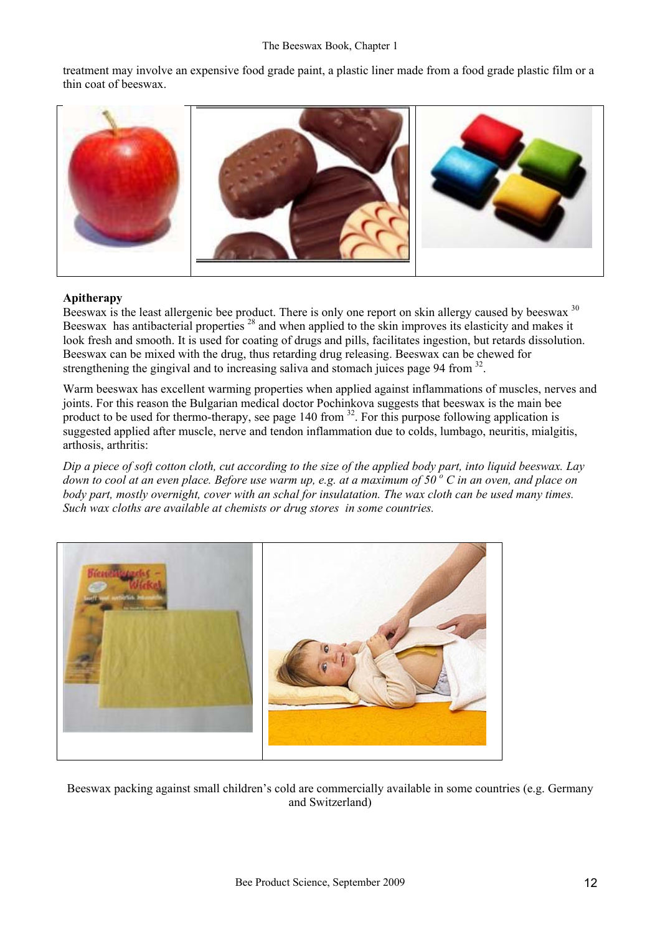treatment may involve an expensive food grade paint, a plastic liner made from a food grade plastic film or a thin coat of beeswax.



#### **Apitherapy**

Beeswax is the least allergenic bee product. There is only one report on skin allergy caused by beeswax <sup>30</sup> Beeswax has antibacterial properties <sup>28</sup> and when applied to the skin improves its elasticity and makes it look fresh and smooth. It is used for coating of drugs and pills, facilitates ingestion, but retards dissolution. Beeswax can be mixed with the drug, thus retarding drug releasing. Beeswax can be chewed for strengthening the gingival and to increasing saliva and stomach juices page 94 from <sup>32</sup>.

Warm beeswax has excellent warming properties when applied against inflammations of muscles, nerves and joints. For this reason the Bulgarian medical doctor Pochinkova suggests that beeswax is the main bee product to be used for thermo-therapy, see page 140 from  $32$ . For this purpose following application is suggested applied after muscle, nerve and tendon inflammation due to colds, lumbago, neuritis, mialgitis, arthosis, arthritis:

*Dip a piece of soft cotton cloth, cut according to the size of the applied body part, into liquid beeswax. Lay*  down to cool at an even place. Before use warm up, e.g. at a maximum of 50<sup>°</sup> C in an oven, and place on *body part, mostly overnight, cover with an schal for insulatation. The wax cloth can be used many times. Such wax cloths are available at chemists or drug stores in some countries.* 



Beeswax packing against small children's cold are commercially available in some countries (e.g. Germany and Switzerland)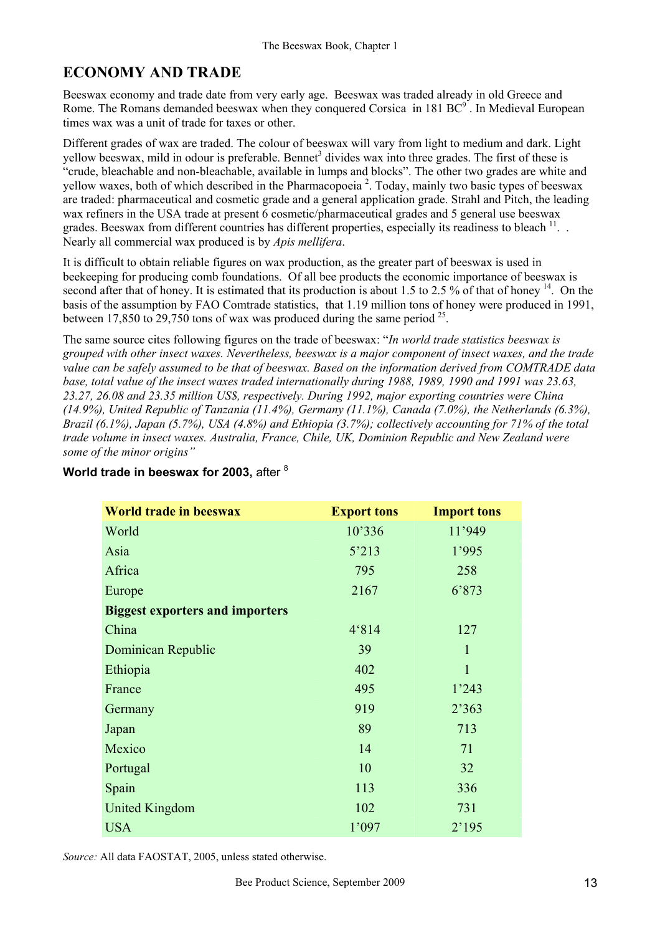## **ECONOMY AND TRADE**

Beeswax economy and trade date from very early age. Beeswax was traded already in old Greece and Rome. The Romans demanded beeswax when they conquered Corsica in 181  $BC^9$ . In Medieval European times wax was a unit of trade for taxes or other.

Different grades of wax are traded. The colour of beeswax will vary from light to medium and dark. Light yellow beeswax, mild in odour is preferable. Bennet<sup>3</sup> divides wax into three grades. The first of these is "crude, bleachable and non-bleachable, available in lumps and blocks". The other two grades are white and yellow waxes, both of which described in the Pharmacopoeia<sup>2</sup>. Today, mainly two basic types of beeswax are traded: pharmaceutical and cosmetic grade and a general application grade. Strahl and Pitch, the leading wax refiners in the USA trade at present 6 cosmetic/pharmaceutical grades and 5 general use beeswax grades. Beeswax from different countries has different properties, especially its readiness to bleach <sup>11</sup>... Nearly all commercial wax produced is by *Apis mellifera*.

It is difficult to obtain reliable figures on wax production, as the greater part of beeswax is used in beekeeping for producing comb foundations. Of all bee products the economic importance of beeswax is second after that of honey. It is estimated that its production is about 1.5 to 2.5 % of that of honey <sup>14</sup>. On the basis of the assumption by FAO Comtrade statistics, that 1.19 million tons of honey were produced in 1991, between 17,850 to 29,750 tons of wax was produced during the same period  $^{25}$ .

The same source cites following figures on the trade of beeswax: "*In world trade statistics beeswax is grouped with other insect waxes. Nevertheless, beeswax is a major component of insect waxes, and the trade value can be safely assumed to be that of beeswax. Based on the information derived from COMTRADE data base, total value of the insect waxes traded internationally during 1988, 1989, 1990 and 1991 was 23.63, 23.27, 26.08 and 23.35 million US\$, respectively. During 1992, major exporting countries were China (14.9%), United Republic of Tanzania (11.4%), Germany (11.1%), Canada (7.0%), the Netherlands (6.3%), Brazil (6.1%), Japan (5.7%), USA (4.8%) and Ethiopia (3.7%); collectively accounting for 71% of the total trade volume in insect waxes. Australia, France, Chile, UK, Dominion Republic and New Zealand were some of the minor origins"* 

| <b>World trade in beeswax</b>          | <b>Export tons</b> | <b>Import tons</b> |  |  |
|----------------------------------------|--------------------|--------------------|--|--|
| World                                  | 10'336             | 11'949             |  |  |
| Asia                                   | 5'213              | 1'995              |  |  |
| Africa                                 | 795                | 258                |  |  |
| Europe                                 | 2167               | 6'873              |  |  |
| <b>Biggest exporters and importers</b> |                    |                    |  |  |
| China                                  | 4'814              | 127                |  |  |
| Dominican Republic                     | 39                 | $\mathbf{1}$       |  |  |
| Ethiopia                               | 402                | $\mathbf{1}$       |  |  |
| France                                 | 495                | 1'243              |  |  |
| Germany                                | 919                | 2'363              |  |  |
| Japan                                  | 89                 | 713                |  |  |
| Mexico                                 | 14                 | 71                 |  |  |
| Portugal                               | 10                 | 32                 |  |  |
| Spain                                  | 113                | 336                |  |  |
| <b>United Kingdom</b>                  | 102                | 731                |  |  |
| <b>USA</b>                             | 1'097              | 2'195              |  |  |

### **World trade in beeswax for 2003,** after <sup>8</sup>

*Source:* All data FAOSTAT, 2005, unless stated otherwise.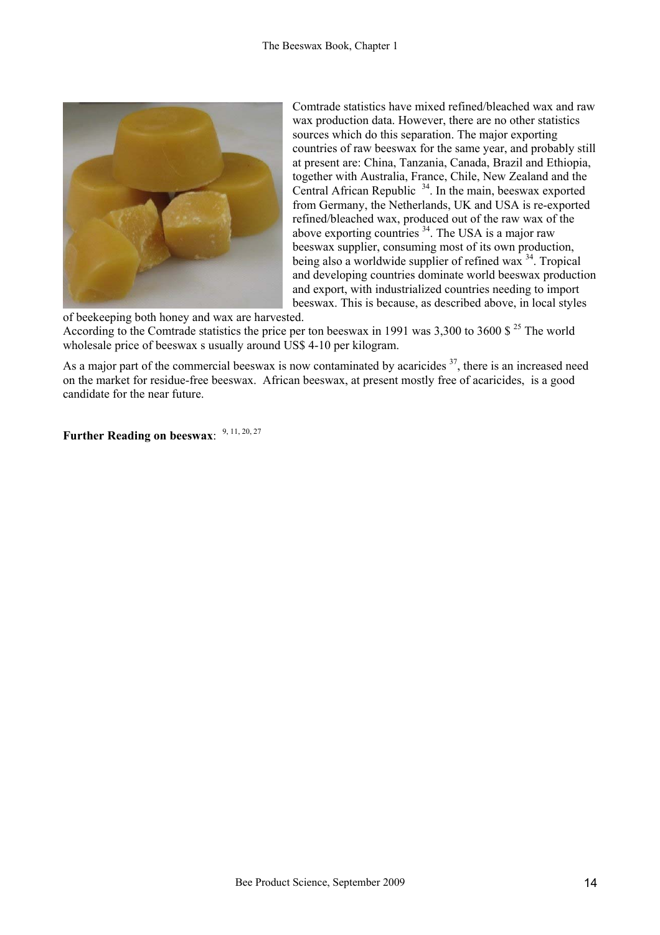

Comtrade statistics have mixed refined/bleached wax and raw wax production data. However, there are no other statistics sources which do this separation. The major exporting countries of raw beeswax for the same year, and probably still at present are: China, Tanzania, Canada, Brazil and Ethiopia, together with Australia, France, Chile, New Zealand and the Central African Republic 34. In the main, beeswax exported from Germany, the Netherlands, UK and USA is re-exported refined/bleached wax, produced out of the raw wax of the above exporting countries  $34$ . The USA is a major raw beeswax supplier, consuming most of its own production, being also a worldwide supplier of refined wax  $34$ . Tropical and developing countries dominate world beeswax production and export, with industrialized countries needing to import beeswax. This is because, as described above, in local styles

of beekeeping both honey and wax are harvested. According to the Comtrade statistics the price per ton beeswax in 1991 was 3,300 to 3600 \$ 25 The world wholesale price of beeswax s usually around US\$ 4-10 per kilogram.

As a major part of the commercial beeswax is now contaminated by acaricides <sup>37</sup>, there is an increased need on the market for residue-free beeswax. African beeswax, at present mostly free of acaricides, is a good candidate for the near future.

Further Reading on beeswax: 9, 11, 20, 27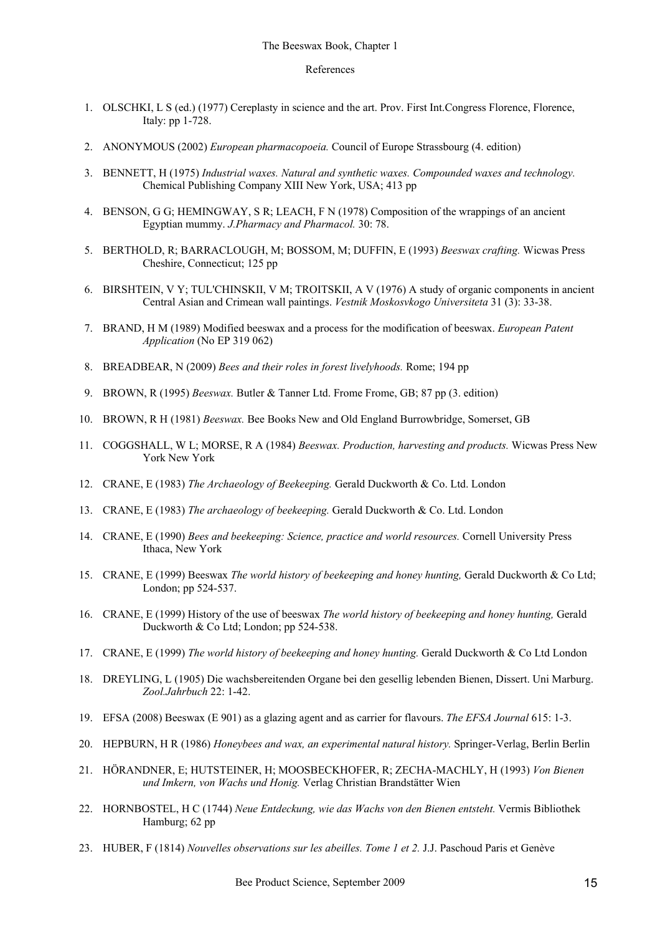#### References

- 1. OLSCHKI, L S (ed.) (1977) Cereplasty in science and the art. Prov. First Int.Congress Florence, Florence, Italy: pp 1-728.
- 2. ANONYMOUS (2002) *European pharmacopoeia.* Council of Europe Strassbourg (4. edition)
- 3. BENNETT, H (1975) *Industrial waxes. Natural and synthetic waxes. Compounded waxes and technology.* Chemical Publishing Company XIII New York, USA; 413 pp
- 4. BENSON, G G; HEMINGWAY, S R; LEACH, F N (1978) Composition of the wrappings of an ancient Egyptian mummy. *J.Pharmacy and Pharmacol.* 30: 78.
- 5. BERTHOLD, R; BARRACLOUGH, M; BOSSOM, M; DUFFIN, E (1993) *Beeswax crafting.* Wicwas Press Cheshire, Connecticut; 125 pp
- 6. BIRSHTEIN, V Y; TUL'CHINSKII, V M; TROITSKII, A V (1976) A study of organic components in ancient Central Asian and Crimean wall paintings. *Vestnik Moskosvkogo Universiteta* 31 (3): 33-38.
- 7. BRAND, H M (1989) Modified beeswax and a process for the modification of beeswax. *European Patent Application* (No EP 319 062)
- 8. BREADBEAR, N (2009) *Bees and their roles in forest livelyhoods.* Rome; 194 pp
- 9. BROWN, R (1995) *Beeswax.* Butler & Tanner Ltd. Frome Frome, GB; 87 pp (3. edition)
- 10. BROWN, R H (1981) *Beeswax.* Bee Books New and Old England Burrowbridge, Somerset, GB
- 11. COGGSHALL, W L; MORSE, R A (1984) *Beeswax. Production, harvesting and products.* Wicwas Press New York New York
- 12. CRANE, E (1983) *The Archaeology of Beekeeping.* Gerald Duckworth & Co. Ltd. London
- 13. CRANE, E (1983) *The archaeology of beekeeping.* Gerald Duckworth & Co. Ltd. London
- 14. CRANE, E (1990) *Bees and beekeeping: Science, practice and world resources.* Cornell University Press Ithaca, New York
- 15. CRANE, E (1999) Beeswax *The world history of beekeeping and honey hunting,* Gerald Duckworth & Co Ltd; London; pp 524-537.
- 16. CRANE, E (1999) History of the use of beeswax *The world history of beekeeping and honey hunting,* Gerald Duckworth & Co Ltd: London; pp 524-538.
- 17. CRANE, E (1999) *The world history of beekeeping and honey hunting.* Gerald Duckworth & Co Ltd London
- 18. DREYLING, L (1905) Die wachsbereitenden Organe bei den gesellig lebenden Bienen, Dissert. Uni Marburg. *Zool.Jahrbuch* 22: 1-42.
- 19. EFSA (2008) Beeswax (E 901) as a glazing agent and as carrier for flavours. *The EFSA Journal* 615: 1-3.
- 20. HEPBURN, H R (1986) *Honeybees and wax, an experimental natural history.* Springer-Verlag, Berlin Berlin
- 21. HÖRANDNER, E; HUTSTEINER, H; MOOSBECKHOFER, R; ZECHA-MACHLY, H (1993) *Von Bienen und Imkern, von Wachs und Honig.* Verlag Christian Brandstätter Wien
- 22. HORNBOSTEL, H C (1744) *Neue Entdeckung, wie das Wachs von den Bienen entsteht.* Vermis Bibliothek Hamburg; 62 pp
- 23. HUBER, F (1814) *Nouvelles observations sur les abeilles. Tome 1 et 2.* J.J. Paschoud Paris et Genève